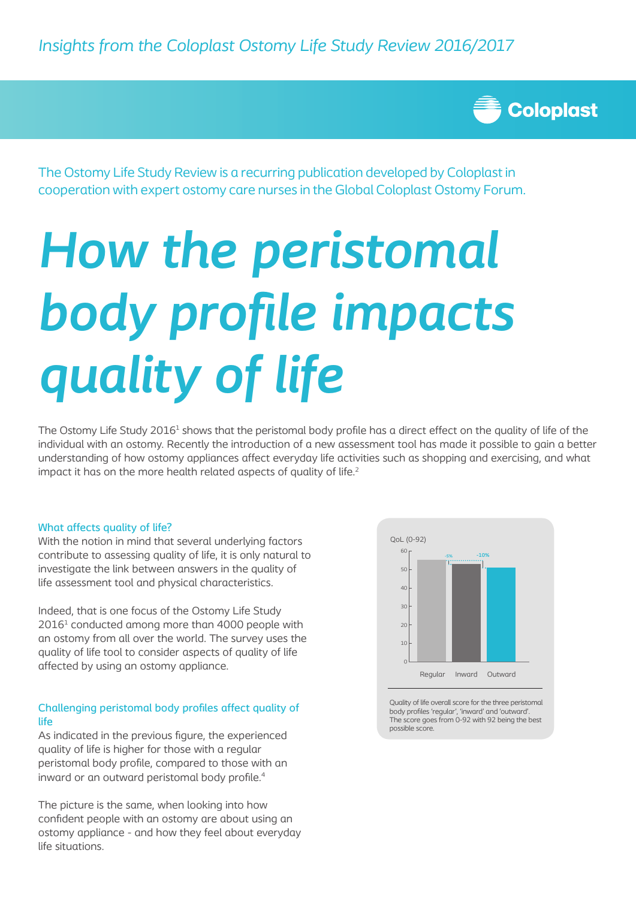

The Ostomy Life Study Review is a recurring publication developed by Coloplast in cooperation with expert ostomy care nurses in the Global Coloplast Ostomy Forum.

# *How the peristomal body profile impacts quality of life*

The Ostomy Life Study 2016<sup>1</sup> shows that the peristomal body profile has a direct effect on the quality of life of the individual with an ostomy. Recently the introduction of a new assessment tool has made it possible to gain a better understanding of how ostomy appliances affect everyday life activities such as shopping and exercising, and what impact it has on the more health related aspects of quality of life.<sup>2</sup>

## What affects quality of life?

With the notion in mind that several underlying factors contribute to assessing quality of life, it is only natural to investigate the link between answers in the quality of life assessment tool and physical characteristics.

Indeed, that is one focus of the Ostomy Life Study  $2016<sup>1</sup>$  conducted among more than 4000 people with an ostomy from all over the world. The survey uses the quality of life tool to consider aspects of quality of life affected by using an ostomy appliance.

# Challenging peristomal body profiles affect quality of life

As indicated in the previous figure, the experienced quality of life is higher for those with a regular peristomal body profile, compared to those with an inward or an outward peristomal body profile.<sup>4</sup>

The picture is the same, when looking into how confident people with an ostomy are about using an ostomy appliance - and how they feel about everyday life situations.



Quality of life overall score for the three peristomal body profiles 'regular', 'inward' and 'outward'. The score goes from 0-92 with 92 being the best possible score.